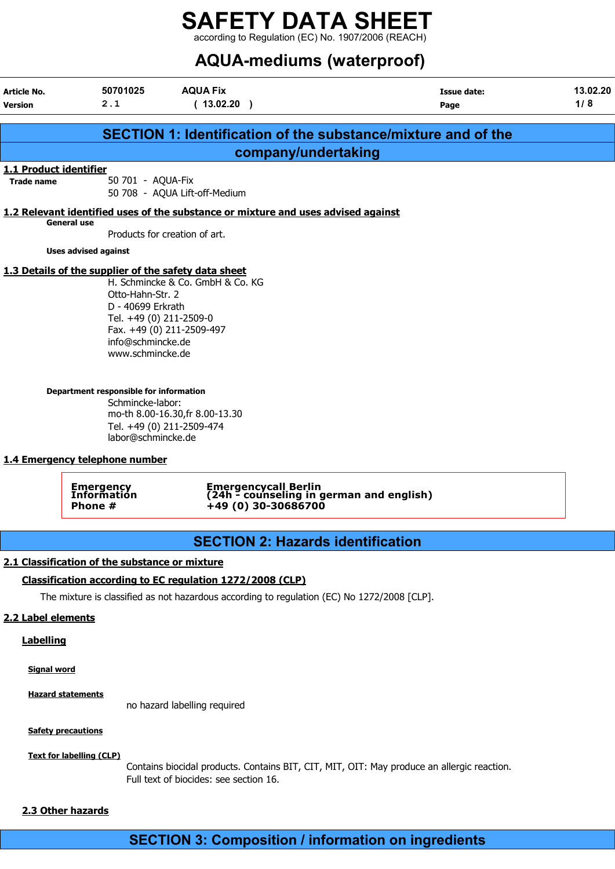# SAFETY DATA SHEET  $\frac{1}{2}$  according to Regulation (EC) No. 1907/2006 (REACH)

# AQUA-mediums (waterproof)

| Article No.<br><b>Version</b>               | 50701025<br>2.1                                                                                                                                                                                                                                                                         | <b>AQUA Fix</b><br>(13.02.20)                                                                                                                            | <b>Issue date:</b><br>Page                                           | 13.02.20<br>1/8 |
|---------------------------------------------|-----------------------------------------------------------------------------------------------------------------------------------------------------------------------------------------------------------------------------------------------------------------------------------------|----------------------------------------------------------------------------------------------------------------------------------------------------------|----------------------------------------------------------------------|-----------------|
|                                             |                                                                                                                                                                                                                                                                                         |                                                                                                                                                          | <b>SECTION 1: Identification of the substance/mixture and of the</b> |                 |
|                                             |                                                                                                                                                                                                                                                                                         |                                                                                                                                                          | company/undertaking                                                  |                 |
| 1.1 Product identifier<br><b>Trade name</b> | 50 701 - AQUA-Fix                                                                                                                                                                                                                                                                       | 50 708 - AQUA Lift-off-Medium                                                                                                                            |                                                                      |                 |
|                                             |                                                                                                                                                                                                                                                                                         | 1.2 Relevant identified uses of the substance or mixture and uses advised against                                                                        |                                                                      |                 |
|                                             | General use                                                                                                                                                                                                                                                                             | Products for creation of art.                                                                                                                            |                                                                      |                 |
|                                             | <b>Uses advised against</b>                                                                                                                                                                                                                                                             |                                                                                                                                                          |                                                                      |                 |
|                                             | 1.3 Details of the supplier of the safety data sheet<br>Otto-Hahn-Str. 2<br>D - 40699 Erkrath<br>Tel. +49 (0) 211-2509-0<br>info@schmincke.de<br>www.schmincke.de<br>Department responsible for information<br>Schmincke-labor:<br>labor@schmincke.de<br>1.4 Emergency telephone number | H. Schmincke & Co. GmbH & Co. KG<br>Fax. +49 (0) 211-2509-497<br>mo-th 8.00-16.30, fr 8.00-13.30<br>Tel. +49 (0) 211-2509-474                            |                                                                      |                 |
|                                             | Emergency<br>Information<br>Phone #                                                                                                                                                                                                                                                     | +49 (0) 30-30686700                                                                                                                                      | Emergencycall Berlin<br>(24h - counseling in german and english)     |                 |
|                                             |                                                                                                                                                                                                                                                                                         |                                                                                                                                                          | <b>SECTION 2: Hazards identification</b>                             |                 |
| 2.2 Label elements                          | 2.1 Classification of the substance or mixture                                                                                                                                                                                                                                          | Classification according to EC regulation 1272/2008 (CLP)<br>The mixture is classified as not hazardous according to regulation (EC) No 1272/2008 [CLP]. |                                                                      |                 |
| <b>Labelling</b><br><b>Signal word</b>      |                                                                                                                                                                                                                                                                                         |                                                                                                                                                          |                                                                      |                 |

Hazard statements

no hazard labelling required

#### **Safety precautions**

#### Text for labelling (CLP)

Contains biocidal products. Contains BIT, CIT, MIT, OIT: May produce an allergic reaction. Full text of biocides: see section 16.

#### 2.3 Other hazards

# SECTION 3: Composition / information on ingredients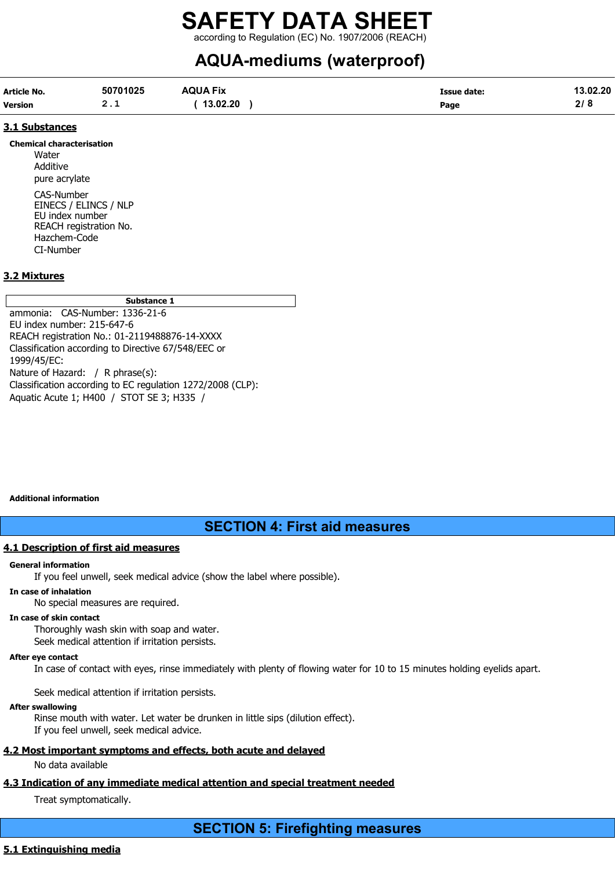according to Regulation (EC) No. 1907/2006 (REACH)

# AQUA-mediums (waterproof)

| Article No.    | 50701025 | <b>AQUA Fix</b> | Issue date: | 13.02.20 |
|----------------|----------|-----------------|-------------|----------|
| <b>Version</b> | <u>.</u> | 13.02.20        | Page        | 21 O     |

#### 3.1 Substances

Chemical characterisation **Water** Additive pure acrylate CAS-Number EINECS / ELINCS / NLP EU index number REACH registration No. Hazchem-Code CI-Number

#### 3.2 Mixtures

| Substance 1                                                                                             |
|---------------------------------------------------------------------------------------------------------|
| ammonia: CAS-Number: 1336-21-6                                                                          |
| EU index number: 215-647-6                                                                              |
| REACH registration No.: 01-2119488876-14-XXXX                                                           |
| Classification according to Directive 67/548/EEC or                                                     |
| 1999/45/EC:                                                                                             |
| Nature of Hazard: / R phrase(s):                                                                        |
| Classification according to EC regulation 1272/2008 (CLP):<br>Aquatic Acute 1; H400 / STOT SE 3; H335 / |

Additional information

# SECTION 4: First aid measures

#### 4.1 Description of first aid measures

#### General information

If you feel unwell, seek medical advice (show the label where possible).

#### In case of inhalation

No special measures are required.

#### In case of skin contact

Thoroughly wash skin with soap and water. Seek medical attention if irritation persists.

#### After eye contact

In case of contact with eyes, rinse immediately with plenty of flowing water for 10 to 15 minutes holding eyelids apart.

Seek medical attention if irritation persists.

#### After swallowing

Rinse mouth with water. Let water be drunken in little sips (dilution effect). If you feel unwell, seek medical advice.

# 4.2 Most important symptoms and effects, both acute and delayed

No data available

# 4.3 Indication of any immediate medical attention and special treatment needed

Treat symptomatically.

SECTION 5: Firefighting measures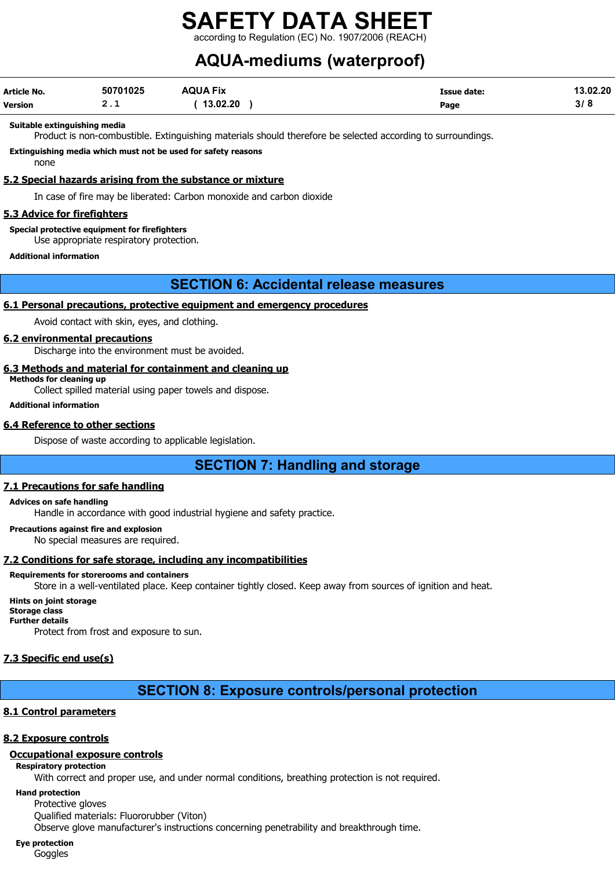# SAFETY DATA SHEET according to Regulation (EC) No. 1907/2006 (REA

# AQUA-mediums (waterproof)

| Article No.    | 50701025 | <b>AQUA Fix</b> | <b>Issue date:</b> | 13.02.20 |
|----------------|----------|-----------------|--------------------|----------|
| <b>Version</b> | <u>.</u> | 13.02.20        | Page               | 3/8      |

#### Suitable extinguishing media

Product is non-combustible. Extinguishing materials should therefore be selected according to surroundings.

Extinguishing media which must not be used for safety reasons

none

#### 5.2 Special hazards arising from the substance or mixture

In case of fire may be liberated: Carbon monoxide and carbon dioxide

#### 5.3 Advice for firefighters

Special protective equipment for firefighters

Use appropriate respiratory protection.

Additional information

### SECTION 6: Accidental release measures

#### 6.1 Personal precautions, protective equipment and emergency procedures

Avoid contact with skin, eyes, and clothing.

#### 6.2 environmental precautions

Discharge into the environment must be avoided.

#### 6.3 Methods and material for containment and cleaning up

Methods for cleaning up

Collect spilled material using paper towels and dispose.

#### Additional information

#### 6.4 Reference to other sections

Dispose of waste according to applicable legislation.

# SECTION 7: Handling and storage

#### 7.1 Precautions for safe handling

#### Advices on safe handling

Handle in accordance with good industrial hygiene and safety practice.

#### Precautions against fire and explosion

No special measures are required.

### 7.2 Conditions for safe storage, including any incompatibilities

#### Requirements for storerooms and containers

Store in a well-ventilated place. Keep container tightly closed. Keep away from sources of ignition and heat.

#### Hints on joint storage

Storage class Further details

Protect from frost and exposure to sun.

### 7.3 Specific end use(s)

# SECTION 8: Exposure controls/personal protection

### 8.1 Control parameters

### 8.2 Exposure controls

### Occupational exposure controls

#### Respiratory protection

With correct and proper use, and under normal conditions, breathing protection is not required.

Hand protection Protective gloves Qualified materials: Fluororubber (Viton) Observe glove manufacturer's instructions concerning penetrability and breakthrough time.

#### Eye protection

**Goggles**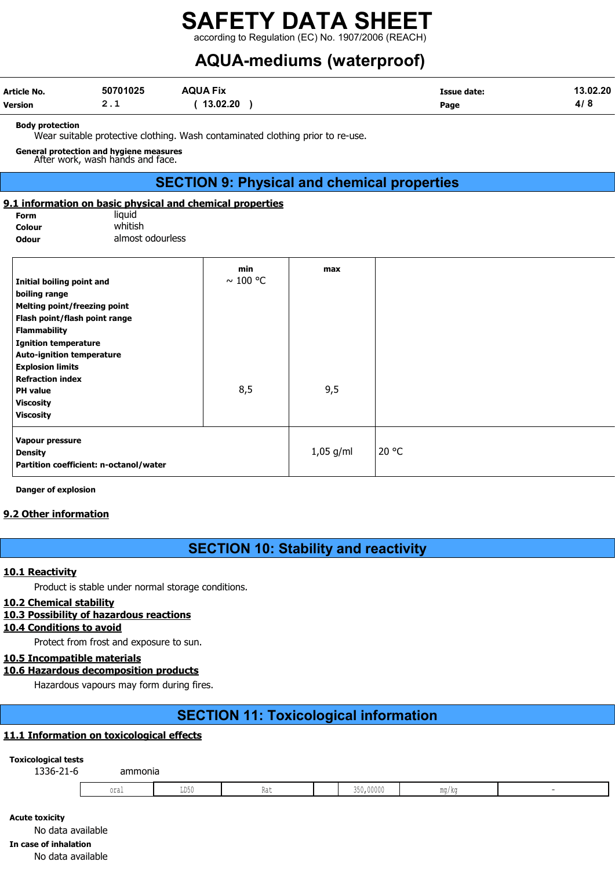according to Regulation (EC) No. 1907/2006 (REACH)

# AQUA-mediums (waterproof)

| Article No.    | 50701025 | <b>AQUA Fix</b> | Issue date: | 13.02.20 |
|----------------|----------|-----------------|-------------|----------|
| <b>Version</b> | <u>.</u> | 13.02.20        | Page        | 4/8      |

#### Body protection

Wear suitable protective clothing. Wash contaminated clothing prior to re-use.

General protection and hygiene measures After work, wash hands and face.

# SECTION 9: Physical and chemical properties

#### 9.1 information on basic physical and chemical properties

| Form   | liauid           |
|--------|------------------|
| Colour | whitish          |
| Odour  | almost odourless |

| Initial boiling point and              | min<br>$\sim$ 100 °C | max         |       |
|----------------------------------------|----------------------|-------------|-------|
|                                        |                      |             |       |
| boiling range                          |                      |             |       |
| <b>Melting point/freezing point</b>    |                      |             |       |
| Flash point/flash point range          |                      |             |       |
| <b>Flammability</b>                    |                      |             |       |
| <b>Ignition temperature</b>            |                      |             |       |
| <b>Auto-ignition temperature</b>       |                      |             |       |
| <b>Explosion limits</b>                |                      |             |       |
| <b>Refraction index</b>                |                      |             |       |
| <b>PH</b> value                        | 8,5                  | 9,5         |       |
| <b>Viscosity</b>                       |                      |             |       |
| <b>Viscosity</b>                       |                      |             |       |
| Vapour pressure                        |                      |             |       |
| <b>Density</b>                         |                      | $1,05$ g/ml | 20 °C |
| Partition coefficient: n-octanol/water |                      |             |       |

Danger of explosion

#### 9.2 Other information

# SECTION 10: Stability and reactivity

#### 10.1 Reactivity

Product is stable under normal storage conditions.

#### 10.2 Chemical stability

#### 10.3 Possibility of hazardous reactions

## 10.4 Conditions to avoid

Protect from frost and exposure to sun.

#### 10.5 Incompatible materials

#### 10.6 Hazardous decomposition products

Hazardous vapours may form during fires.

# SECTION 11: Toxicological information

#### 11.1 Information on toxicological effects

#### Toxicological tests

| 1336-21-6 | ammonia        |                         |      |           |          |  |
|-----------|----------------|-------------------------|------|-----------|----------|--|
|           | .<br>$0 + 0 +$ | T DE I<br><b>TIN YA</b> | 1100 | 350,00000 | $m \sim$ |  |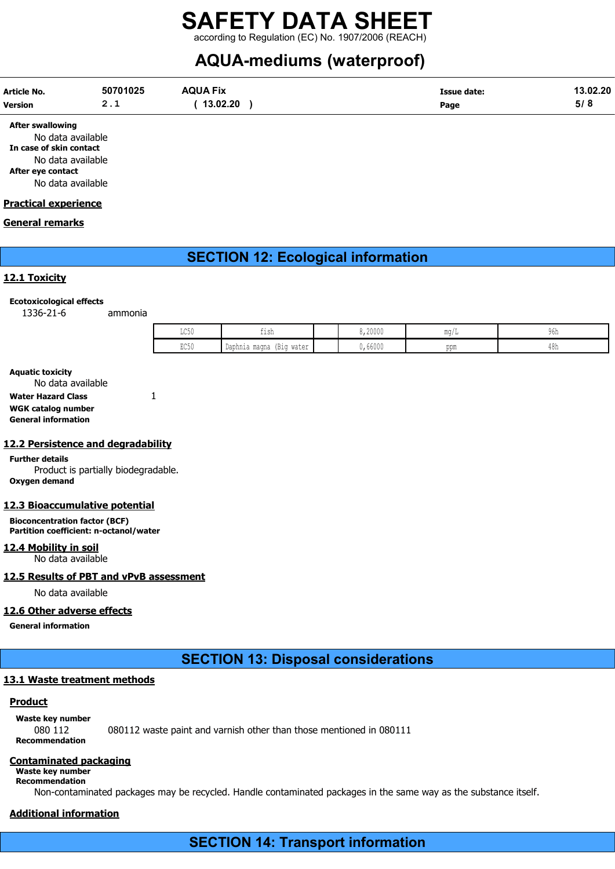# SAFETY DATA SHEET according to Regulation (EC) No. 1907/2006 (REACH)

# AQUA-mediums (waterproof)

| Article No.    | 50701025 | <b>AQUA Fix</b> | <b>Issue date:</b> | 13.02.20 |
|----------------|----------|-----------------|--------------------|----------|
| <b>Version</b> | <u>.</u> | 13.02.20        | Page               | ວ/ ໐     |

After swallowing

No data available In case of skin contact No data available After eye contact No data available

#### Practical experience

#### General remarks

# SECTION 12: Ecological information

#### 12.1 Toxicity

#### Ecotoxicological effects

1336-21-6 ammonia

| $T \cap \Gamma'$<br>⊥∪∪⊍ | $+151$<br>ᆂᆂᇦᄞ                 | 8,20000 |             | yon |
|--------------------------|--------------------------------|---------|-------------|-----|
| DOE!<br>⊔∪∪⊍             | Daphnia magna<br>water<br>(B10 | 0,66000 | mm<br>VVIII | 4δΩ |

#### Aquatic toxicity

No data available Water Hazard Class 1 WGK catalog number General information

#### 12.2 Persistence and degradability

Further details Product is partially biodegradable. Oxygen demand

#### 12.3 Bioaccumulative potential

Bioconcentration factor (BCF) Partition coefficient: n-octanol/water

#### 12.4 Mobility in soil

No data available

### 12.5 Results of PBT and vPvB assessment

No data available

#### 12.6 Other adverse effects

General information

# SECTION 13: Disposal considerations

# 13.1 Waste treatment methods

### **Product**

Waste key number

080 112 080112 waste paint and varnish other than those mentioned in 080111 Recommendation

### Contaminated packaging

Waste key number Recommendation

Non-contaminated packages may be recycled. Handle contaminated packages in the same way as the substance itself.

# Additional information

SECTION 14: Transport information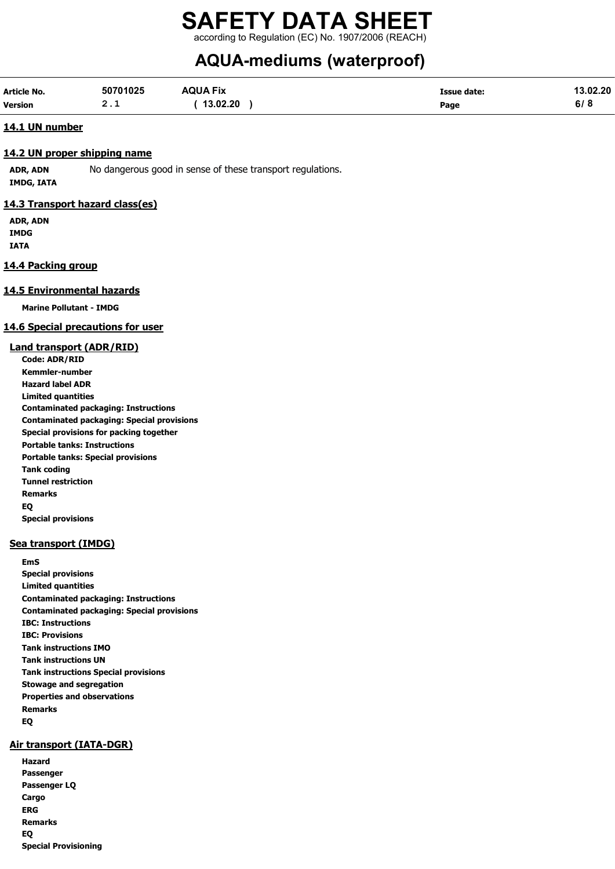# SAFETY DATA SHEET according to Regulation (EC) No. 1907/2006 (REACH)

# AQUA-mediums (waterproof)

| Article No. | 50701025 | <b>AQUA Fix</b> | Issue date: | 13.02.20 |
|-------------|----------|-----------------|-------------|----------|
| Version     | <u>.</u> | 13.02.20        | Page        | ס וס     |

#### 14.1 UN number

#### 14.2 UN proper shipping name

ADR, ADN No dangerous good in sense of these transport regulations. IMDG, IATA

#### 14.3 Transport hazard class(es)

ADR, ADN IMDG IATA

#### 14.4 Packing group

#### 14.5 Environmental hazards

Marine Pollutant - IMDG

#### 14.6 Special precautions for user

#### Land transport (ADR/RID)

Code: ADR/RID Kemmler-number Hazard label ADR Limited quantities Contaminated packaging: Instructions Contaminated packaging: Special provisions Special provisions for packing together Portable tanks: Instructions Portable tanks: Special provisions Tank coding Tunnel restriction Remarks EQ Special provisions

#### Sea transport (IMDG)

EmS Special provisions Limited quantities Contaminated packaging: Instructions Contaminated packaging: Special provisions IBC: Instructions IBC: Provisions Tank instructions IMO Tank instructions UN Tank instructions Special provisions Stowage and segregation Properties and observations Remarks EQ

#### Air transport (IATA-DGR)

Hazard Passenger Passenger LQ Cargo ERG Remarks EQ Special Provisioning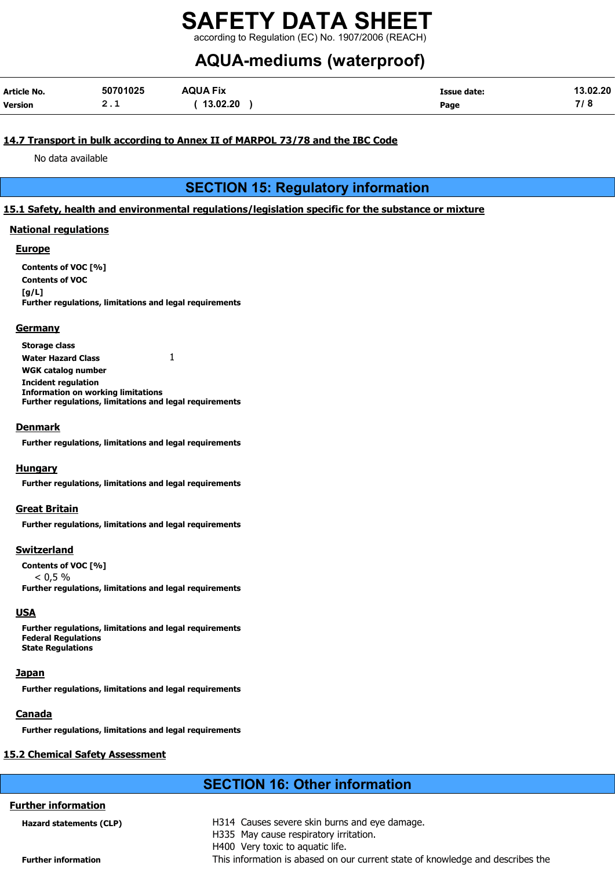according to Regulation (EC) No. 1907/2006 (REACH)

# AQUA-mediums (waterproof)

| Article No. | 50701025 | <b>AQUA Fix</b> | <b>Issue date:</b> | 13.02.20 |
|-------------|----------|-----------------|--------------------|----------|
| Version     | <u>.</u> | 13.02.20        | Page               | 710      |

#### 14.7 Transport in bulk according to Annex II of MARPOL 73/78 and the IBC Code

No data available

# SECTION 15: Regulatory information

#### 15.1 Safety, health and environmental regulations/legislation specific for the substance or mixture

#### National regulations

#### Europe

Contents of VOC [%] Contents of VOC  $[a/L]$ Further regulations, limitations and legal requirements

#### **Germany**

Storage class Water Hazard Class  $1$ WGK catalog number Incident regulation Information on working limitations Further regulations, limitations and legal requirements

#### Denmark

Further regulations, limitations and legal requirements

#### **Hungary**

Further regulations, limitations and legal requirements

#### Great Britain

Further regulations, limitations and legal requirements

#### Switzerland

Contents of VOC [%]  $< 0.5 %$ Further regulations, limitations and legal requirements

#### **USA**

Further regulations, limitations and legal requirements Federal Regulations State Regulations

#### **Japan**

Further regulations, limitations and legal requirements

#### **Canada**

Further regulations, limitations and legal requirements

#### 15.2 Chemical Safety Assessment

Further information

# SECTION 16: Other information

| Hazard statements (CLP)    | H314 Causes severe skin burns and eye damage.                                  |
|----------------------------|--------------------------------------------------------------------------------|
|                            | H335 May cause respiratory irritation.                                         |
|                            | H400 Very toxic to aquatic life.                                               |
| <b>Further information</b> | This information is abased on our current state of knowledge and describes the |